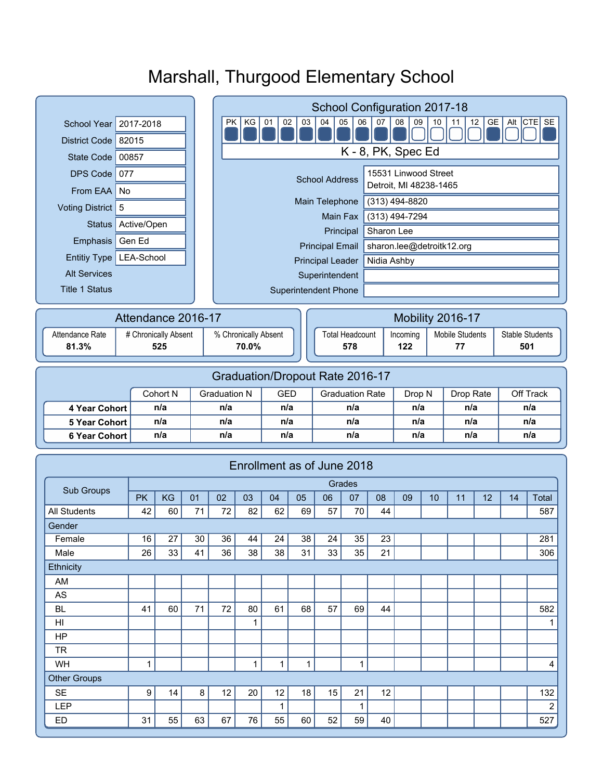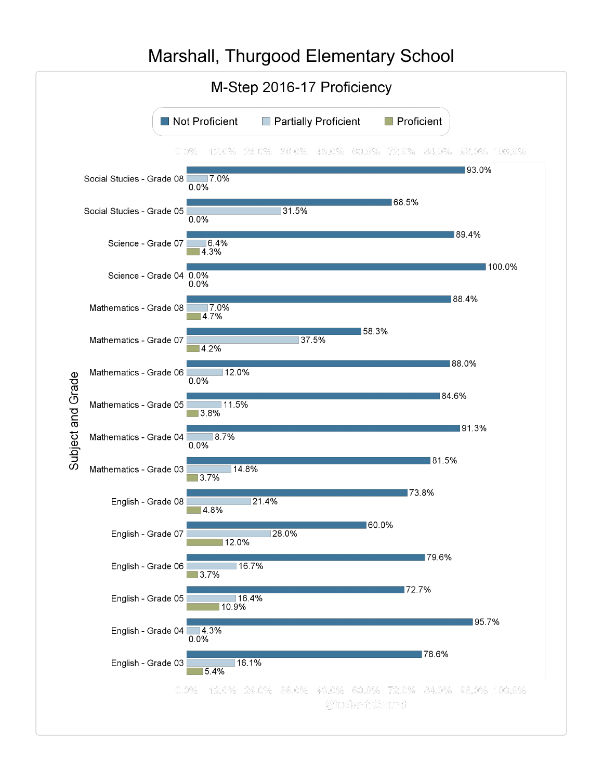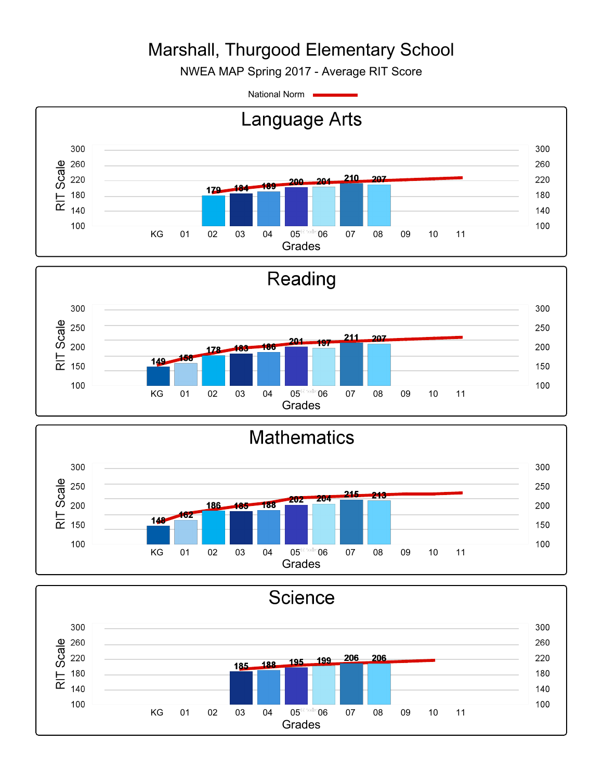NWEA MAP Spring 2017 - Average RIT Score

National Norm